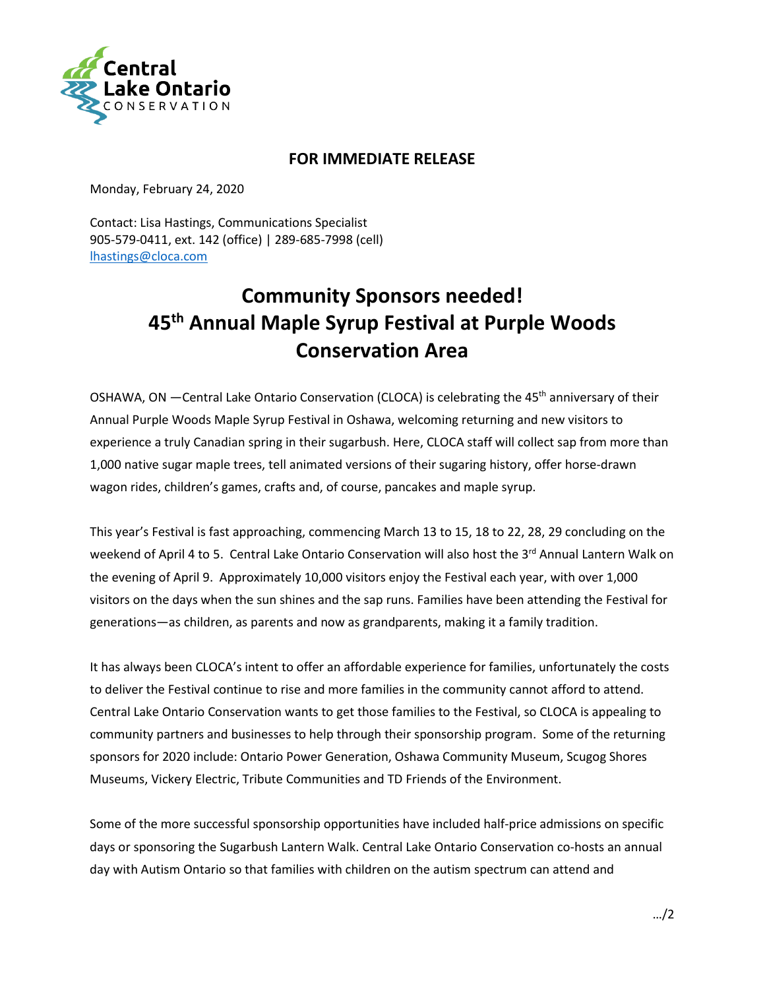

## **FOR IMMEDIATE RELEASE**

Monday, February 24, 2020

Contact: Lisa Hastings, Communications Specialist 905-579-0411, ext. 142 (office) | 289-685-7998 (cell) [lhastings@cloca.com](mailto:lhastings@cloca.com)

## **Community Sponsors needed! 45th Annual Maple Syrup Festival at Purple Woods Conservation Area**

OSHAWA, ON -Central Lake Ontario Conservation (CLOCA) is celebrating the 45<sup>th</sup> anniversary of their Annual Purple Woods Maple Syrup Festival in Oshawa, welcoming returning and new visitors to experience a truly Canadian spring in their sugarbush. Here, CLOCA staff will collect sap from more than 1,000 native sugar maple trees, tell animated versions of their sugaring history, offer horse-drawn wagon rides, children's games, crafts and, of course, pancakes and maple syrup.

This year's Festival is fast approaching, commencing March 13 to 15, 18 to 22, 28, 29 concluding on the weekend of April 4 to 5. Central Lake Ontario Conservation will also host the 3<sup>rd</sup> Annual Lantern Walk on the evening of April 9. Approximately 10,000 visitors enjoy the Festival each year, with over 1,000 visitors on the days when the sun shines and the sap runs. Families have been attending the Festival for generations—as children, as parents and now as grandparents, making it a family tradition.

It has always been CLOCA's intent to offer an affordable experience for families, unfortunately the costs to deliver the Festival continue to rise and more families in the community cannot afford to attend. Central Lake Ontario Conservation wants to get those families to the Festival, so CLOCA is appealing to community partners and businesses to help through their sponsorship program. Some of the returning sponsors for 2020 include: Ontario Power Generation, Oshawa Community Museum, Scugog Shores Museums, Vickery Electric, Tribute Communities and TD Friends of the Environment.

Some of the more successful sponsorship opportunities have included half-price admissions on specific days or sponsoring the Sugarbush Lantern Walk. Central Lake Ontario Conservation co-hosts an annual day with Autism Ontario so that families with children on the autism spectrum can attend and